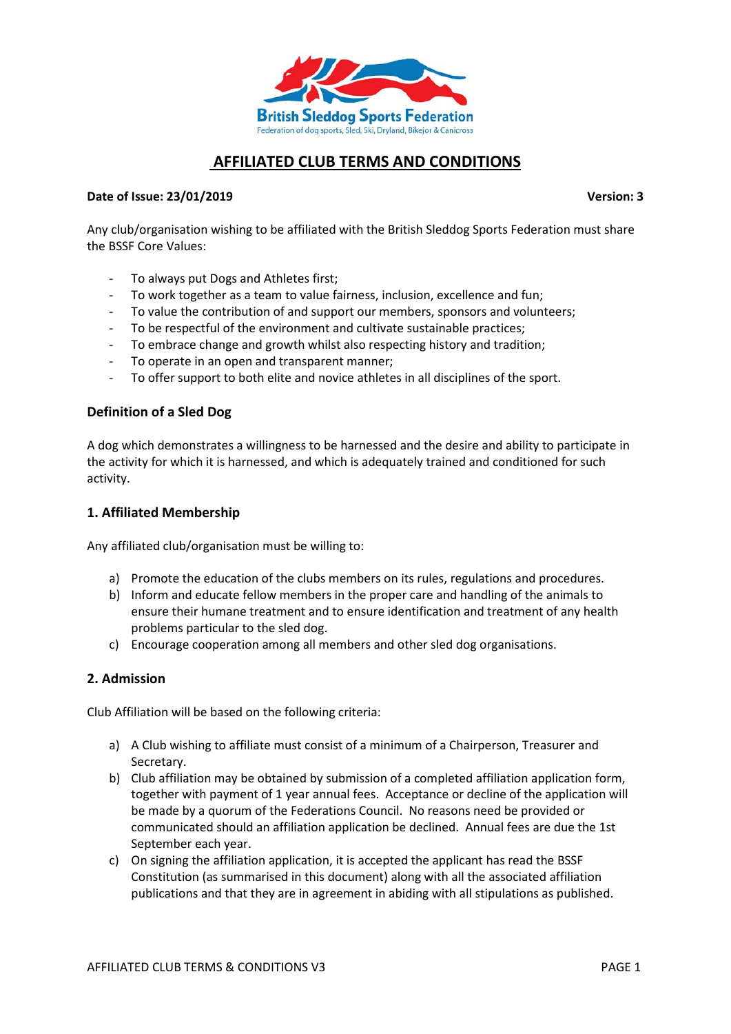

# **AFFILIATED CLUB TERMS AND CONDITIONS**

#### **Date of Issue: 23/01/2019 Version: 3**

Any club/organisation wishing to be affiliated with the British Sleddog Sports Federation must share the BSSF Core Values:

- To always put Dogs and Athletes first;
- To work together as a team to value fairness, inclusion, excellence and fun;
- To value the contribution of and support our members, sponsors and volunteers;
- To be respectful of the environment and cultivate sustainable practices;
- To embrace change and growth whilst also respecting history and tradition;
- To operate in an open and transparent manner;
- To offer support to both elite and novice athletes in all disciplines of the sport.

#### **Definition of a Sled Dog**

A dog which demonstrates a willingness to be harnessed and the desire and ability to participate in the activity for which it is harnessed, and which is adequately trained and conditioned for such activity.

#### **1. Affiliated Membership**

Any affiliated club/organisation must be willing to:

- a) Promote the education of the clubs members on its rules, regulations and procedures.
- b) Inform and educate fellow members in the proper care and handling of the animals to ensure their humane treatment and to ensure identification and treatment of any health problems particular to the sled dog.
- c) Encourage cooperation among all members and other sled dog organisations.

#### **2. Admission**

Club Affiliation will be based on the following criteria:

- a) A Club wishing to affiliate must consist of a minimum of a Chairperson, Treasurer and Secretary.
- b) Club affiliation may be obtained by submission of a completed affiliation application form, together with payment of 1 year annual fees. Acceptance or decline of the application will be made by a quorum of the Federations Council. No reasons need be provided or communicated should an affiliation application be declined. Annual fees are due the 1st September each year.
- c) On signing the affiliation application, it is accepted the applicant has read the BSSF Constitution (as summarised in this document) along with all the associated affiliation publications and that they are in agreement in abiding with all stipulations as published.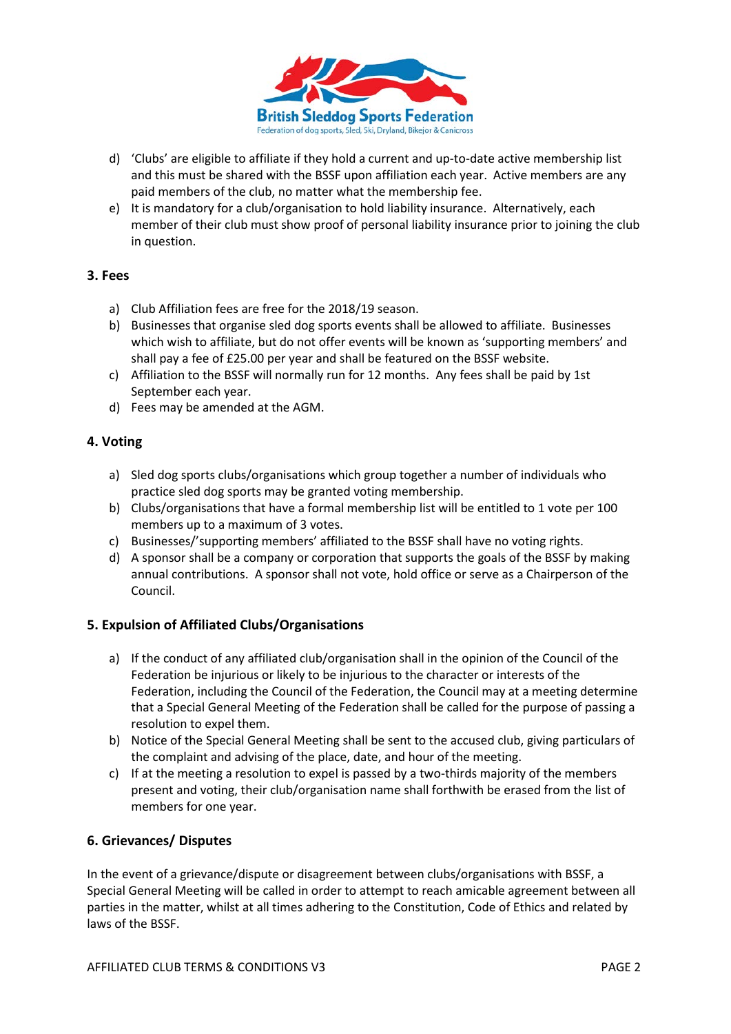

- d) 'Clubs' are eligible to affiliate if they hold a current and up-to-date active membership list and this must be shared with the BSSF upon affiliation each year. Active members are any paid members of the club, no matter what the membership fee.
- e) It is mandatory for a club/organisation to hold liability insurance. Alternatively, each member of their club must show proof of personal liability insurance prior to joining the club in question.

## **3. Fees**

- a) Club Affiliation fees are free for the 2018/19 season.
- b) Businesses that organise sled dog sports events shall be allowed to affiliate. Businesses which wish to affiliate, but do not offer events will be known as 'supporting members' and shall pay a fee of £25.00 per year and shall be featured on the BSSF website.
- c) Affiliation to the BSSF will normally run for 12 months. Any fees shall be paid by 1st September each year.
- d) Fees may be amended at the AGM.

## **4. Voting**

- a) Sled dog sports clubs/organisations which group together a number of individuals who practice sled dog sports may be granted voting membership.
- b) Clubs/organisations that have a formal membership list will be entitled to 1 vote per 100 members up to a maximum of 3 votes.
- c) Businesses/'supporting members' affiliated to the BSSF shall have no voting rights.
- d) A sponsor shall be a company or corporation that supports the goals of the BSSF by making annual contributions. A sponsor shall not vote, hold office or serve as a Chairperson of the Council.

## **5. Expulsion of Affiliated Clubs/Organisations**

- a) If the conduct of any affiliated club/organisation shall in the opinion of the Council of the Federation be injurious or likely to be injurious to the character or interests of the Federation, including the Council of the Federation, the Council may at a meeting determine that a Special General Meeting of the Federation shall be called for the purpose of passing a resolution to expel them.
- b) Notice of the Special General Meeting shall be sent to the accused club, giving particulars of the complaint and advising of the place, date, and hour of the meeting.
- c) If at the meeting a resolution to expel is passed by a two-thirds majority of the members present and voting, their club/organisation name shall forthwith be erased from the list of members for one year.

## **6. Grievances/ Disputes**

In the event of a grievance/dispute or disagreement between clubs/organisations with BSSF, a Special General Meeting will be called in order to attempt to reach amicable agreement between all parties in the matter, whilst at all times adhering to the Constitution, Code of Ethics and related by laws of the BSSF.